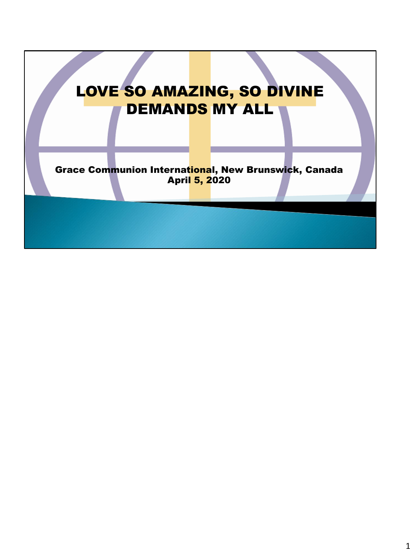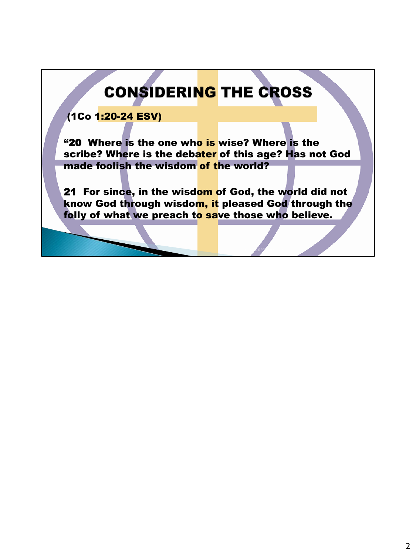# **CONSIDERING THE CROSS**

### (1Co 1:20-24 ESV)

"20 Where is the one who is wise? Where is the scribe? Where is the debater of this age? Has not God made foolish the wisdom of the world?

21 For since, in the wisdom of God, the world did not know God through wisdom, it pleased God through the folly of what we preach to save those who believe.

Life And RESURRECTION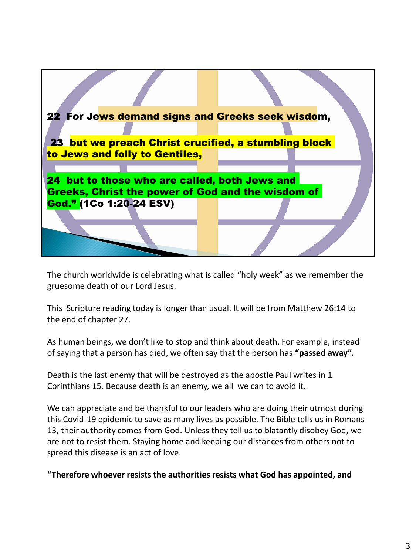

The church worldwide is celebrating what is called "holy week" as we remember the gruesome death of our Lord Jesus.

This Scripture reading today is longer than usual. It will be from Matthew 26:14 to the end of chapter 27.

As human beings, we don't like to stop and think about death. For example, instead of saying that a person has died, we often say that the person has **"passed away".**

Death is the last enemy that will be destroyed as the apostle Paul writes in 1 Corinthians 15. Because death is an enemy, we all we can to avoid it.

We can appreciate and be thankful to our leaders who are doing their utmost during this Covid-19 epidemic to save as many lives as possible. The Bible tells us in Romans 13, their authority comes from God. Unless they tell us to blatantly disobey God, we are not to resist them. Staying home and keeping our distances from others not to spread this disease is an act of love.

**"Therefore whoever resists the authorities resists what God has appointed, and**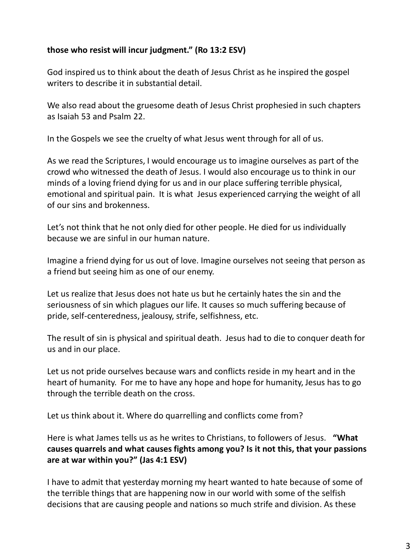#### **those who resist will incur judgment." (Ro 13:2 ESV)**

God inspired us to think about the death of Jesus Christ as he inspired the gospel writers to describe it in substantial detail.

We also read about the gruesome death of Jesus Christ prophesied in such chapters as Isaiah 53 and Psalm 22.

In the Gospels we see the cruelty of what Jesus went through for all of us.

As we read the Scriptures, I would encourage us to imagine ourselves as part of the crowd who witnessed the death of Jesus. I would also encourage us to think in our minds of a loving friend dying for us and in our place suffering terrible physical, emotional and spiritual pain. It is what Jesus experienced carrying the weight of all of our sins and brokenness.

Let's not think that he not only died for other people. He died for us individually because we are sinful in our human nature.

Imagine a friend dying for us out of love. Imagine ourselves not seeing that person as a friend but seeing him as one of our enemy.

Let us realize that Jesus does not hate us but he certainly hates the sin and the seriousness of sin which plagues our life. It causes so much suffering because of pride, self-centeredness, jealousy, strife, selfishness, etc.

The result of sin is physical and spiritual death. Jesus had to die to conquer death for us and in our place.

Let us not pride ourselves because wars and conflicts reside in my heart and in the heart of humanity. For me to have any hope and hope for humanity, Jesus has to go through the terrible death on the cross.

Let us think about it. Where do quarrelling and conflicts come from?

Here is what James tells us as he writes to Christians, to followers of Jesus. **"What causes quarrels and what causes fights among you? Is it not this, that your passions are at war within you?" (Jas 4:1 ESV)**

I have to admit that yesterday morning my heart wanted to hate because of some of the terrible things that are happening now in our world with some of the selfish decisions that are causing people and nations so much strife and division. As these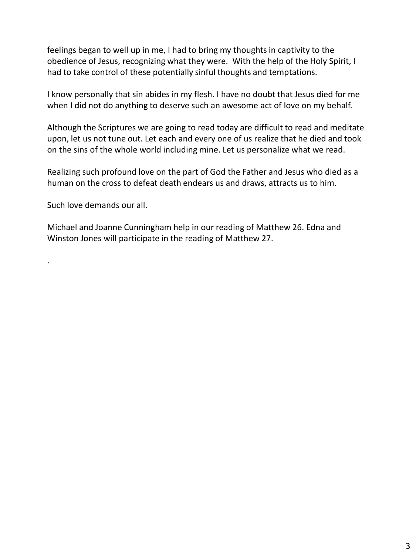feelings began to well up in me, I had to bring my thoughts in captivity to the obedience of Jesus, recognizing what they were. With the help of the Holy Spirit, I had to take control of these potentially sinful thoughts and temptations.

I know personally that sin abides in my flesh. I have no doubt that Jesus died for me when I did not do anything to deserve such an awesome act of love on my behalf.

Although the Scriptures we are going to read today are difficult to read and meditate upon, let us not tune out. Let each and every one of us realize that he died and took on the sins of the whole world including mine. Let us personalize what we read.

Realizing such profound love on the part of God the Father and Jesus who died as a human on the cross to defeat death endears us and draws, attracts us to him.

Such love demands our all.

.

Michael and Joanne Cunningham help in our reading of Matthew 26. Edna and Winston Jones will participate in the reading of Matthew 27.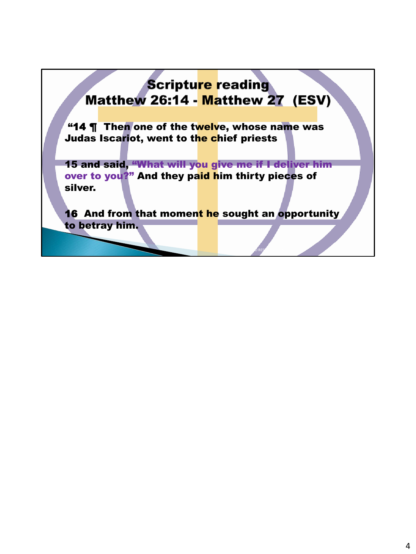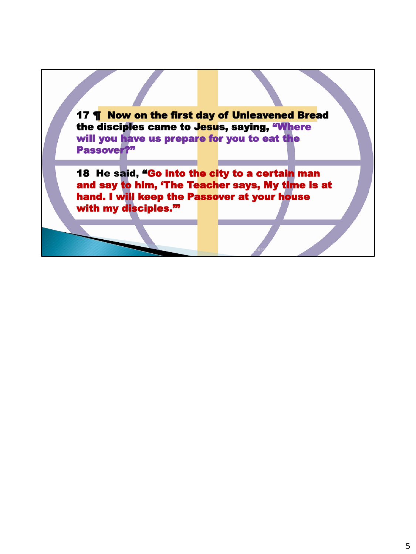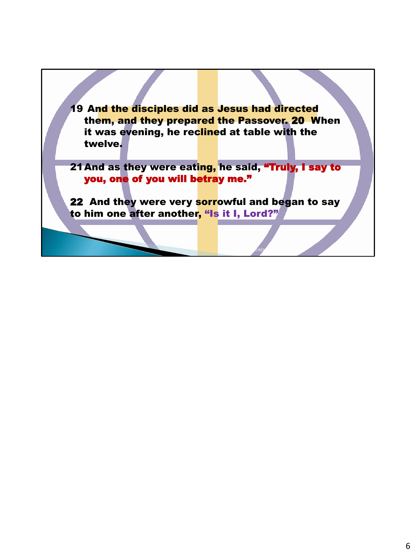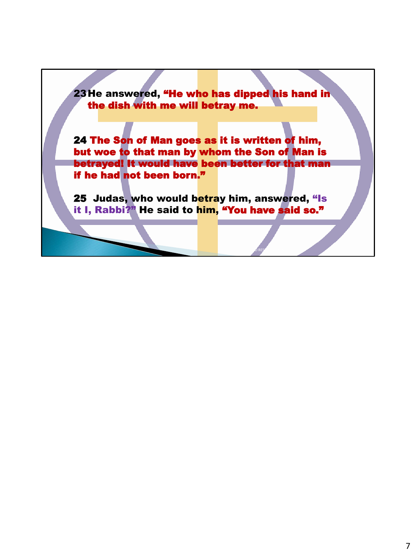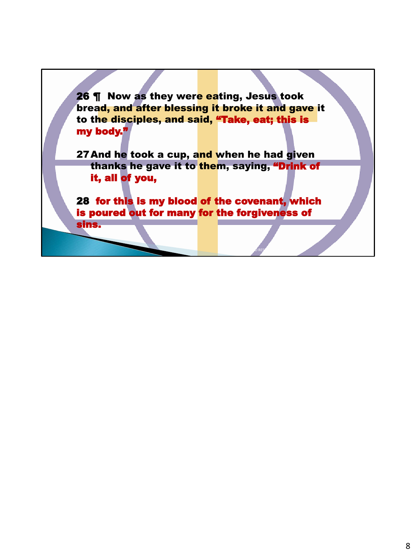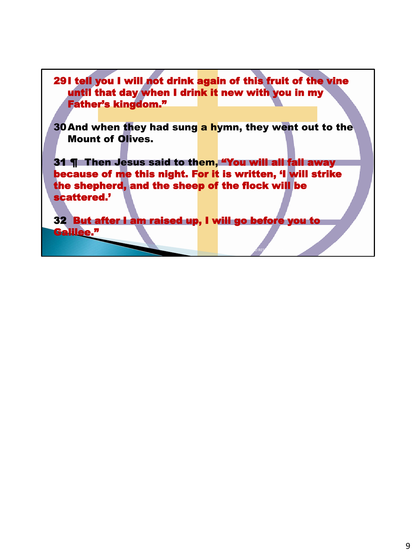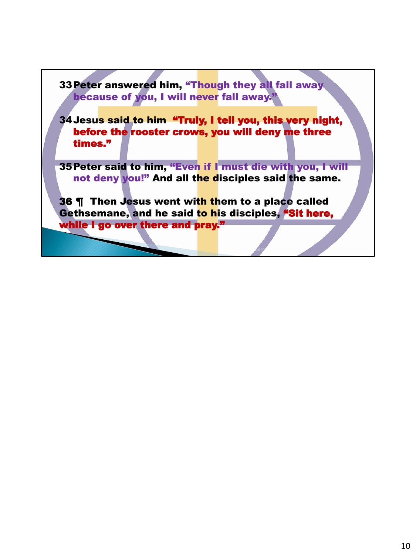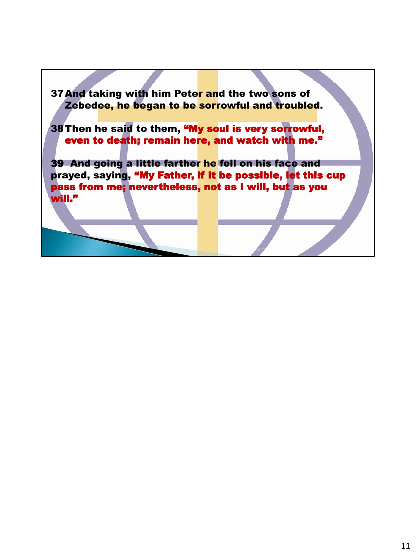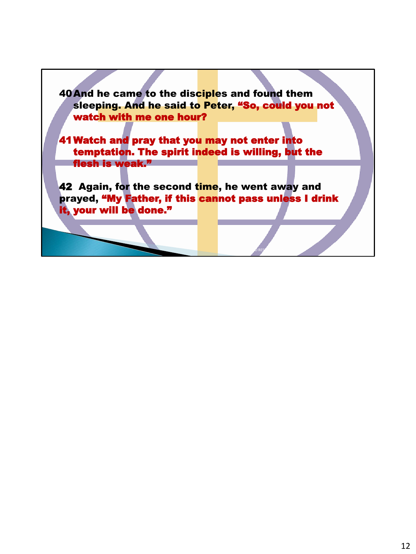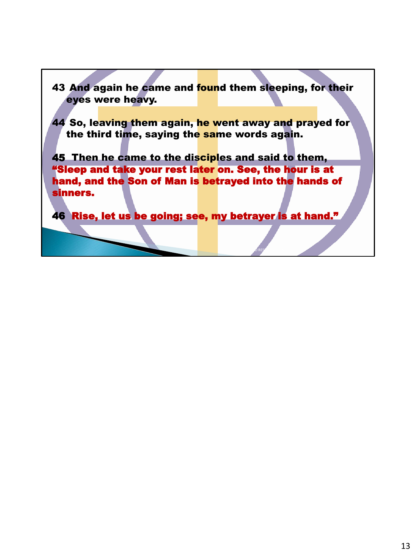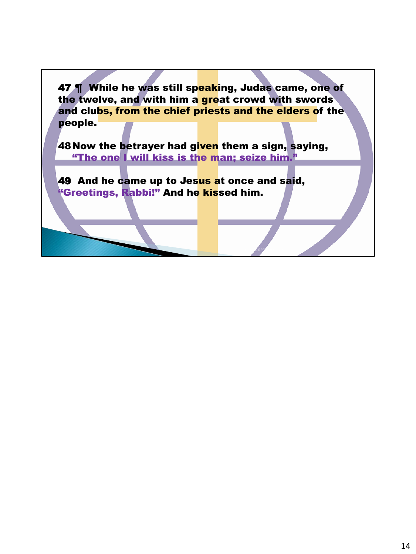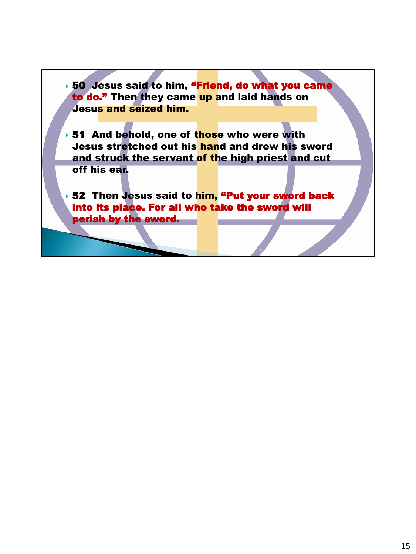▶ 50 Jesus said to him, "Friend, do what you came to do." Then they came up and laid hands on Jesus and seized him.

▸ 51 And behold, one of t<mark>hos</mark>e who were with Jesus stretched out his hand and drew his sword and struck the servant of the high priest and cut off his ear.

▸ 52 Then Jesus said to him, "Put your sword back into its place. For all who take the sword will perish by the sword.

 $CC$  and  $C$  is the set of  $C$  is the set of  $C$  is the set of  $C$  is the set of  $C$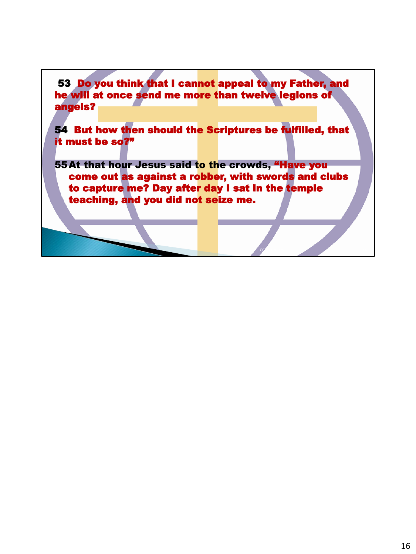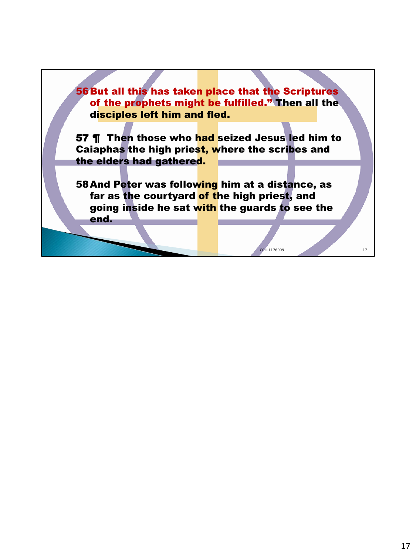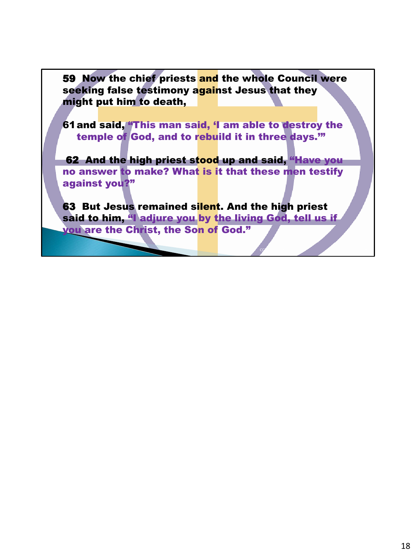59 Now the chief priests and the whole Council were seeking false testimony against Jesus that they might put him to death,

61and said, "This man said, 'I am able to destroy the temple of God, and to rebuild it in three days.'"

62 And the high priest stood up and said, "Have you no answer to make? What is it that these men testify against you?"

**63 But Jesus remained silent. And the high priest** said to him, "I adjure you by the living God, tell us if you are the Christ, the Son of God."

 $CC$  and  $C$  is the set of  $C$  is the set of  $C$  is the set of  $C$  is the set of  $C$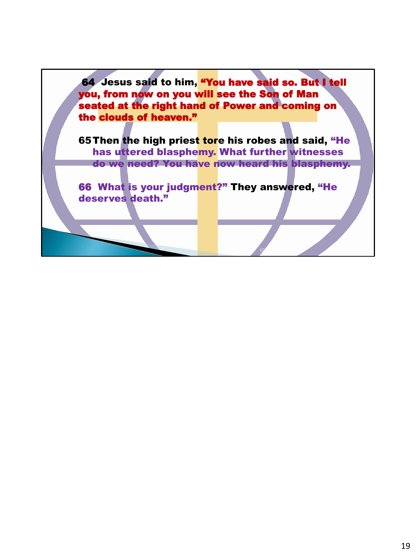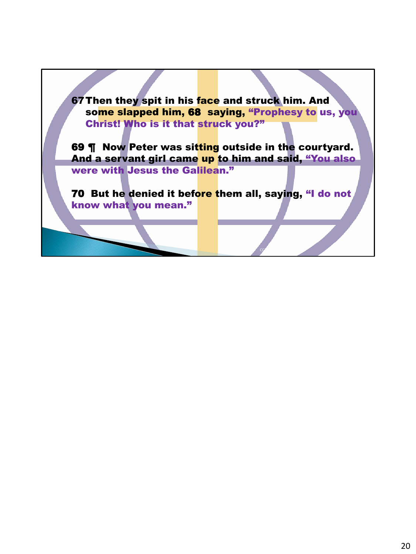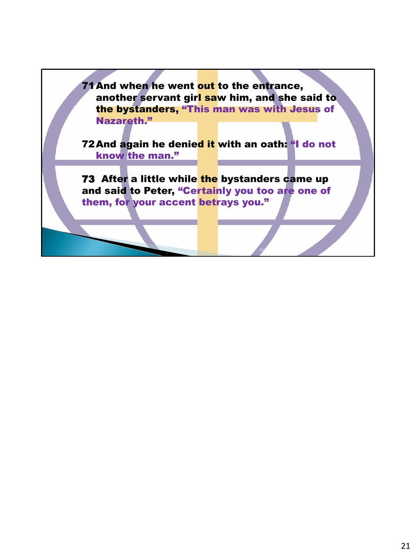71 And when he went out to the entrance, another servant girl saw him, and she said to the bystanders, "This man was with Jesus of Nazareth." 72 And again he denied it with an oath: "I do not know the man." 73 After a little while the bystanders came up and said to Peter, "Certainly you too are one of

them, for your accent betrays you."

 $CC$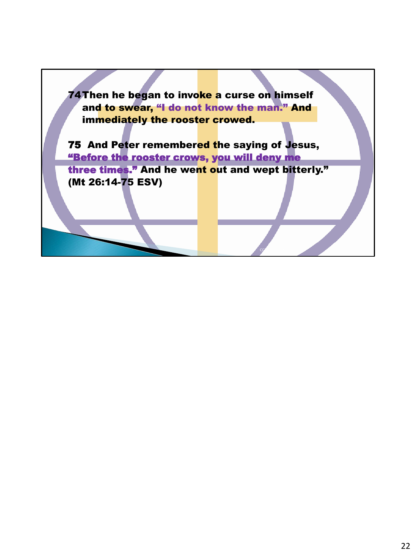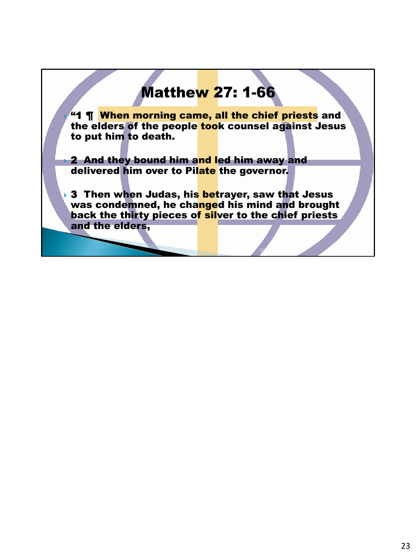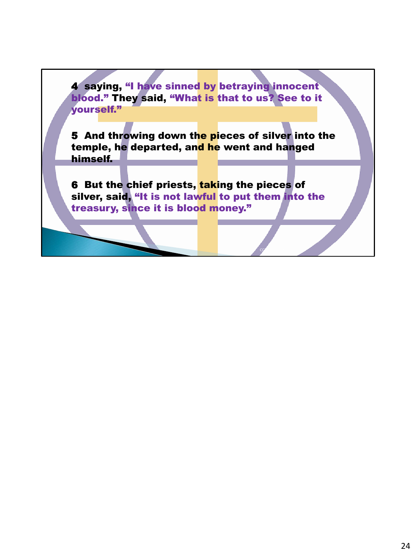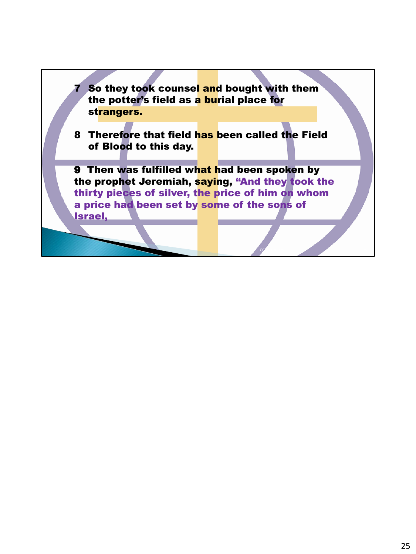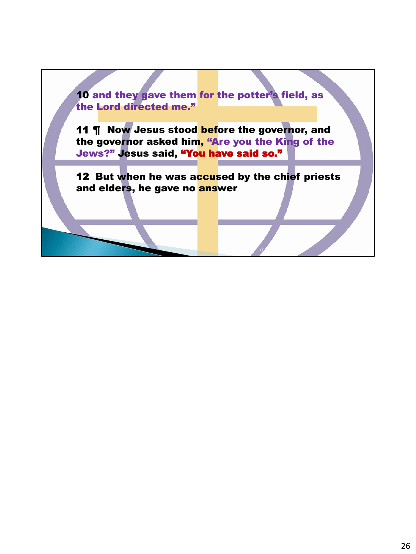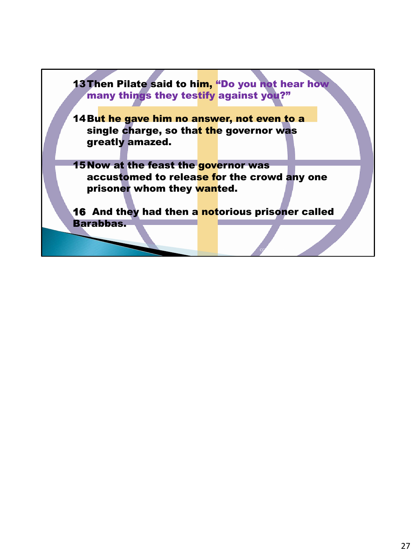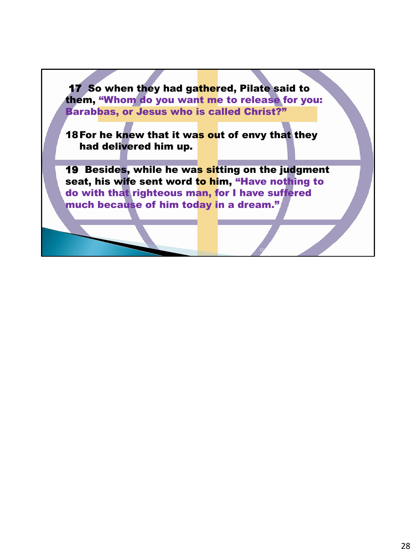17 So when they had gathered, Pilate said to them, "Whom do you want me to release for you: Barabbas, or Jesus who is called Christ?"

18 For he knew that it was out of envy that they had delivered him up.

19 Besides, while he was sitting on the judgment seat, his wife sent word to him, "Have nothing to do with that righteous man, for I have suffered much because of him today in a dream."

CCLI 117609 28009 28009 28009 28009 28009 28009 28009 28009 28009 28009 28009 28009 28009 28009 28009 28009 2800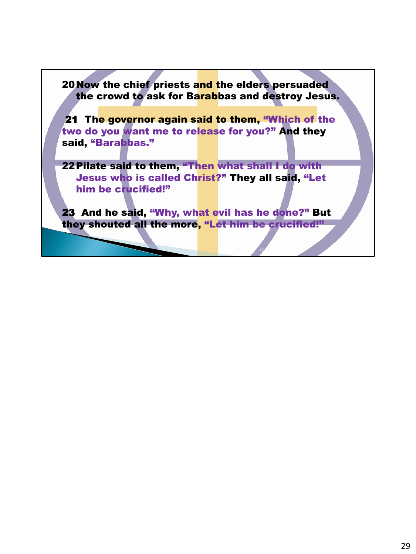

22Pilate said to them, "Then what shall I do with Jesus who is called Christ?" They all said, "Let him be crucified!"

23 And he said, "Why, what evil has he done?" But they shouted all the more, "Let him be crucified!"

 $CC$  and  $C$  is the set of  $C$  is the set of  $C$  is the set of  $C$  is the set of  $C$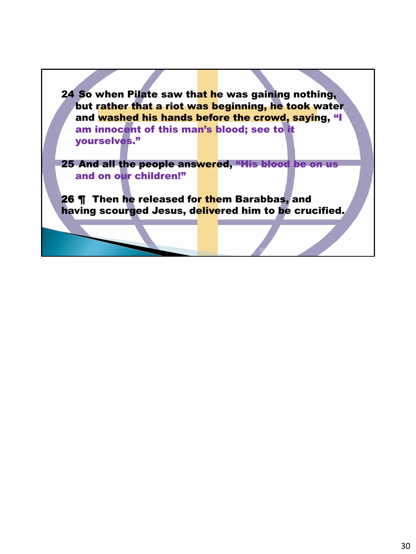24 So when Pilate saw that he was gaining nothing, but rather that a riot was beginning, he took water and washed his hands before the crowd, saying, "I am innocent of this man's blood; see to it yourselves."

25 And all the people answered, "His blood be on us and on our children!"

26 ¶ Then he released for them Barabbas, and having scourged Jesus, delivered him to be crucified.

 $CC$  and  $C$  is the set of  $C$  is the set of  $C$  is the set of  $C$  is the set of  $C$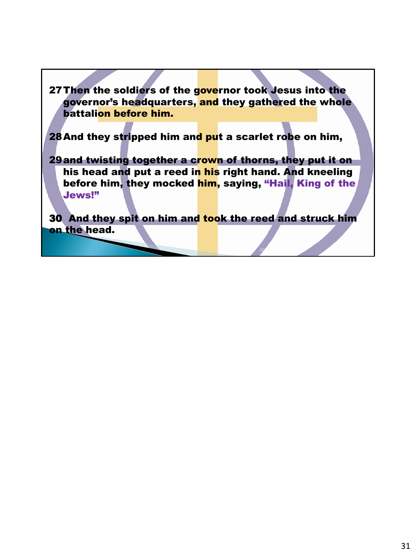27 Then the soldiers of the governor took Jesus into the governor's headquarters, and they gathered the whole battalion before him.

28 And they stripped him and put a scarlet robe on him,

29and twisting together a crown of thorns, they put it on his head and put a reed in his right hand. And kneeling before him, they mocked him, saying, "Hail, King of the Jews!"

30 And they spit on him and took the reed and struck him on the head.

 $CC$  and  $C$  is the set of  $C$  in  $C$  is the set of  $C$  is the set of  $C$  is the set of  $C$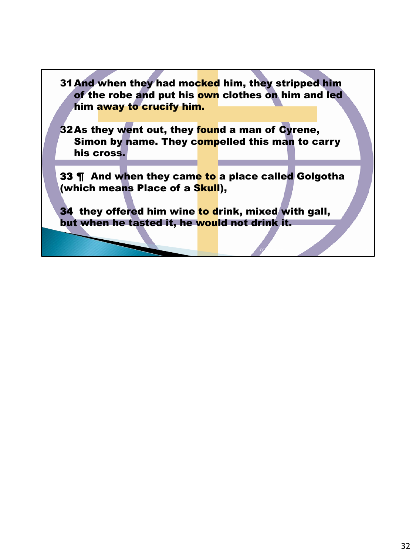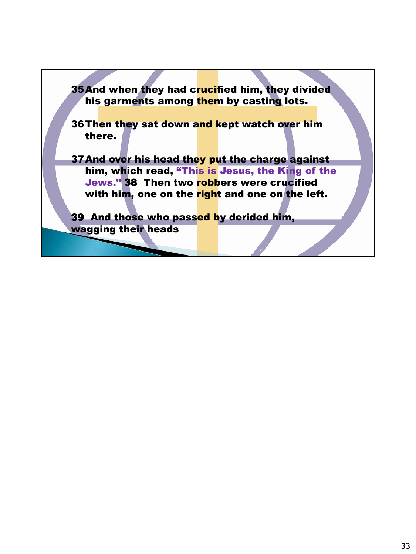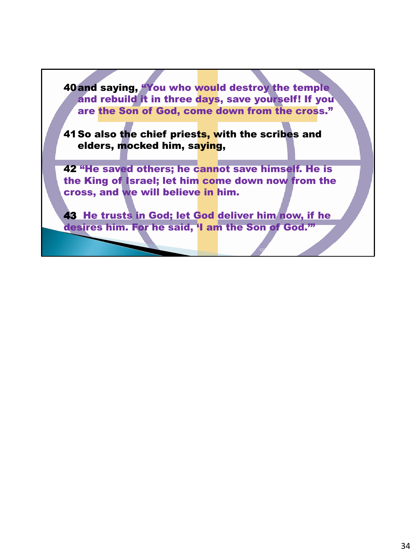40and saying, "You who would destroy the temple and rebuild it in three days, save yourself! If you are the Son of God, come down from the cross."

41 So also the chief priests, with the scribes and elders, mocked him, saying,

42 "He saved others; he cannot save himself. He is the King of Israel; let him come down now from the cross, and we will believe in him.

43 He trusts in God; let God deliver him now, if he desires him. For he said, 'I am the Son of God."

 $CC$  and  $C$  is the set of  $C$  in  $C$  is the set of  $C$  is the set of  $C$  is the set of  $C$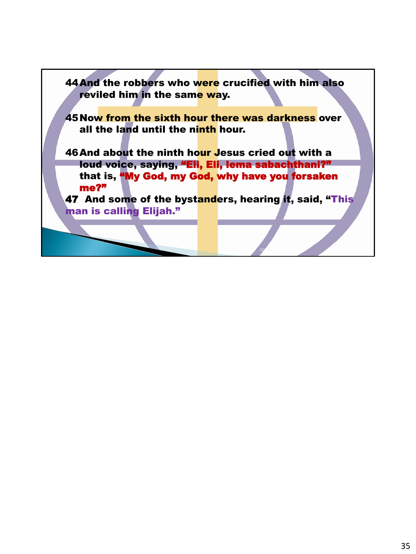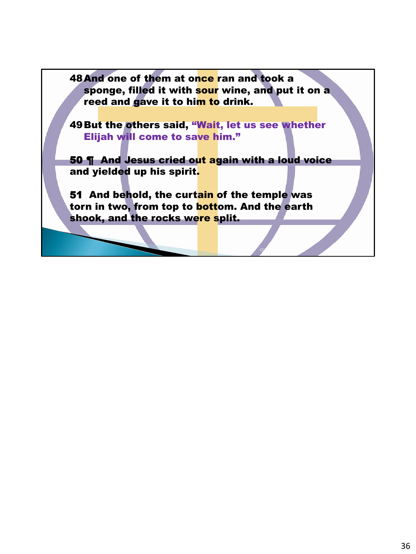48 And one of them at once ran and took a sponge, filled it with sour wine, and put it on a reed and gave it to him to drink.

49But the others said, "Wait, let us see whether Elijah will come to save him."

50 **¶** And Jesus cried out again with a loud voice and yielded up his spirit.

51 And behold, the curtain of the temple was torn in two, from top to bottom. And the earth shook, and the rocks were split.

CCLI 117609 36009 36009 36009 36009 36009 36009 36009 36009 36009 36009 36009 36009 36009 36009 36009 36009 3600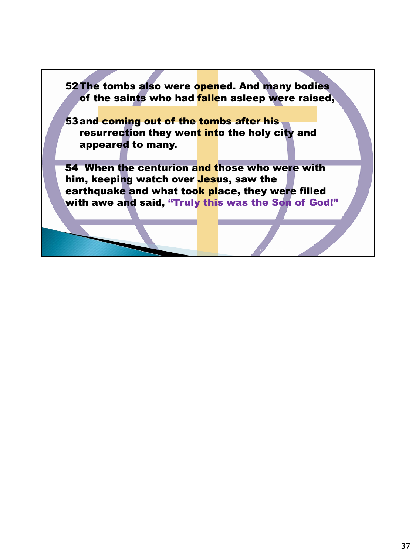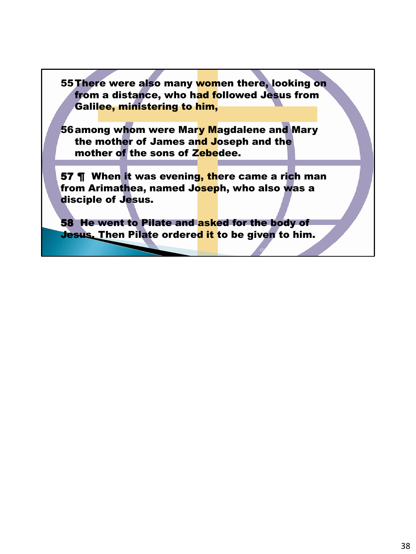55There were also many women there, looking on from a distance, who had followed Jesus from Galilee, ministering to him,

56among whom were Mary Magdalene and Mary the mother of James and Joseph and the mother of the sons of Zebedee.

57 **T** When it was evening, there came a rich man from Arimathea, named J<mark>osep</mark>h, who also was a disciple of Jesus.

58 He went to Pilate and asked for the body of **Jesus.** Then Pilate ordered it to be given to him.

 $CC$  and  $C$  is the set of  $\mathcal{L}$  is the set of  $\mathcal{L}$  is the set of  $\mathcal{L}$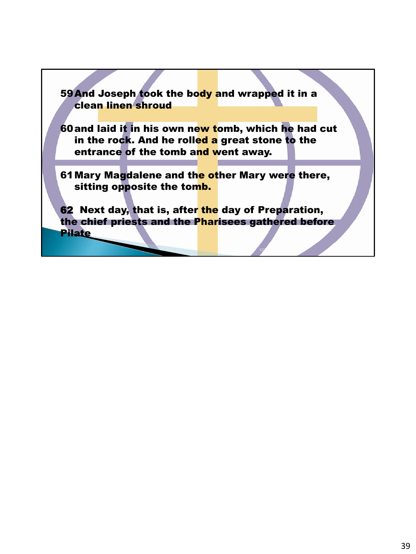59 And Joseph took the body and wrapped it in a clean linen shroud 60and laid it in his own new tomb, which he had cut in the rock. And he rolled a great stone to the entrance of the tomb and went away. 61 Mary Magdalene and the other Mary were there, sitting opposite the tomb. 62 Next day, that is, after the day of Preparation, the chief priests and the Pharisees gathered before Pilate

 $CC$  and  $C$  is the set of  $\mathcal{L}$  is the set of  $\mathcal{L}$  is the set of  $\mathcal{L}$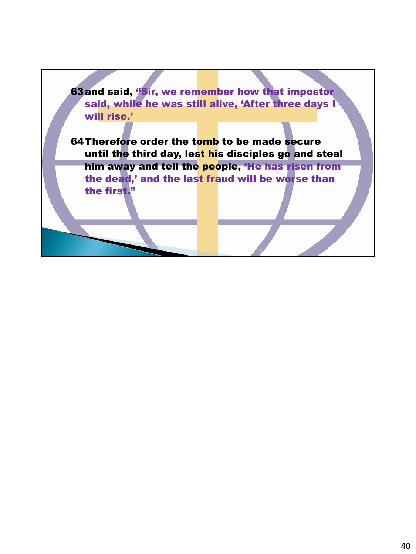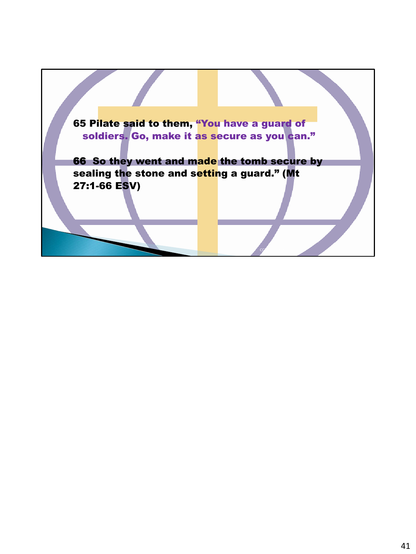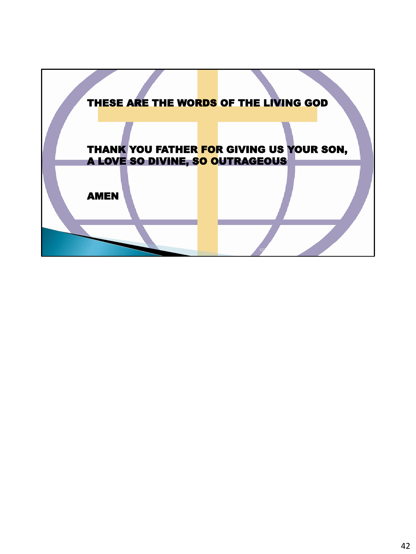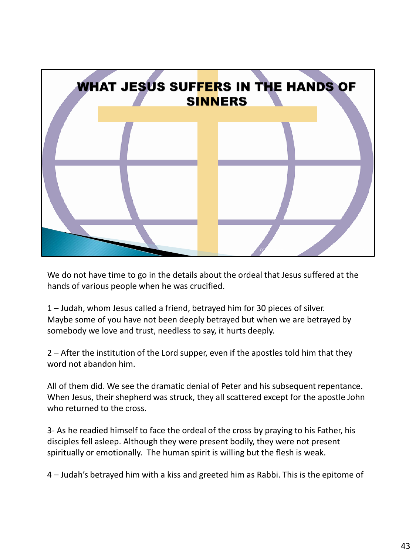

We do not have time to go in the details about the ordeal that Jesus suffered at the hands of various people when he was crucified.

1 – Judah, whom Jesus called a friend, betrayed him for 30 pieces of silver. Maybe some of you have not been deeply betrayed but when we are betrayed by somebody we love and trust, needless to say, it hurts deeply.

2 – After the institution of the Lord supper, even if the apostles told him that they word not abandon him.

All of them did. We see the dramatic denial of Peter and his subsequent repentance. When Jesus, their shepherd was struck, they all scattered except for the apostle John who returned to the cross.

3- As he readied himself to face the ordeal of the cross by praying to his Father, his disciples fell asleep. Although they were present bodily, they were not present spiritually or emotionally. The human spirit is willing but the flesh is weak.

4 – Judah's betrayed him with a kiss and greeted him as Rabbi. This is the epitome of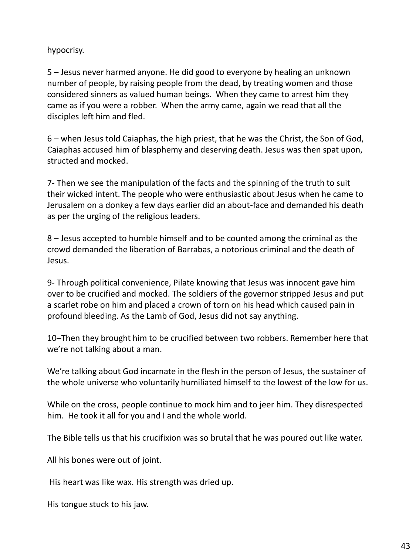#### hypocrisy.

5 – Jesus never harmed anyone. He did good to everyone by healing an unknown number of people, by raising people from the dead, by treating women and those considered sinners as valued human beings. When they came to arrest him they came as if you were a robber. When the army came, again we read that all the disciples left him and fled.

6 – when Jesus told Caiaphas, the high priest, that he was the Christ, the Son of God, Caiaphas accused him of blasphemy and deserving death. Jesus was then spat upon, structed and mocked.

7- Then we see the manipulation of the facts and the spinning of the truth to suit their wicked intent. The people who were enthusiastic about Jesus when he came to Jerusalem on a donkey a few days earlier did an about-face and demanded his death as per the urging of the religious leaders.

8 – Jesus accepted to humble himself and to be counted among the criminal as the crowd demanded the liberation of Barrabas, a notorious criminal and the death of Jesus.

9- Through political convenience, Pilate knowing that Jesus was innocent gave him over to be crucified and mocked. The soldiers of the governor stripped Jesus and put a scarlet robe on him and placed a crown of torn on his head which caused pain in profound bleeding. As the Lamb of God, Jesus did not say anything.

10–Then they brought him to be crucified between two robbers. Remember here that we're not talking about a man.

We're talking about God incarnate in the flesh in the person of Jesus, the sustainer of the whole universe who voluntarily humiliated himself to the lowest of the low for us.

While on the cross, people continue to mock him and to jeer him. They disrespected him. He took it all for you and I and the whole world.

The Bible tells us that his crucifixion was so brutal that he was poured out like water.

All his bones were out of joint.

His heart was like wax. His strength was dried up.

His tongue stuck to his jaw.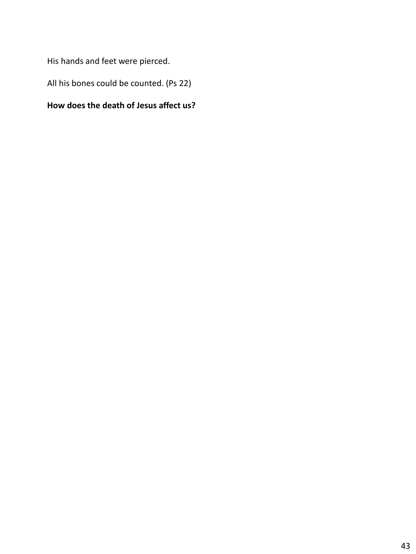His hands and feet were pierced.

All his bones could be counted. (Ps 22)

#### **How does the death of Jesus affect us?**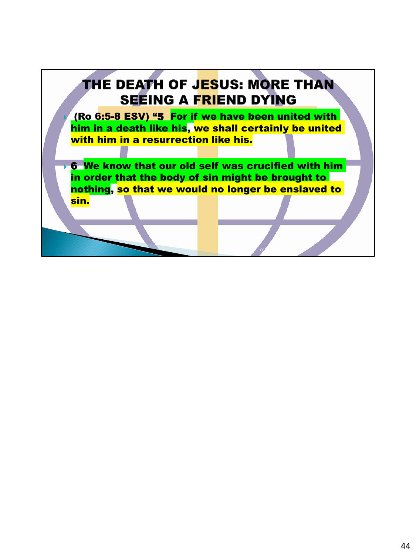## **THE DEATH OF JESUS: MORE THAN SEEING A FRIEND DYING**  (Ro 6:5-8 ESV) "5 For if we have been united with him in a death like his, we shall certainly be united with him in a resurrection like his.  $\rightarrow$  6 We know that our old self was crucified with him in order that the body of sin might be brought to nothing, so that we would no longer be enslaved to sin.

 $CC$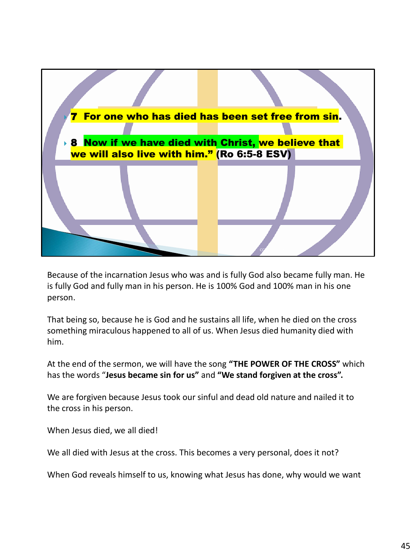

Because of the incarnation Jesus who was and is fully God also became fully man. He is fully God and fully man in his person. He is 100% God and 100% man in his one person.

That being so, because he is God and he sustains all life, when he died on the cross something miraculous happened to all of us. When Jesus died humanity died with him.

At the end of the sermon, we will have the song **"THE POWER OF THE CROSS"** which has the words "**Jesus became sin for us"** and **"We stand forgiven at the cross".**

We are forgiven because Jesus took our sinful and dead old nature and nailed it to the cross in his person.

When Jesus died, we all died!

We all died with Jesus at the cross. This becomes a very personal, does it not?

When God reveals himself to us, knowing what Jesus has done, why would we want